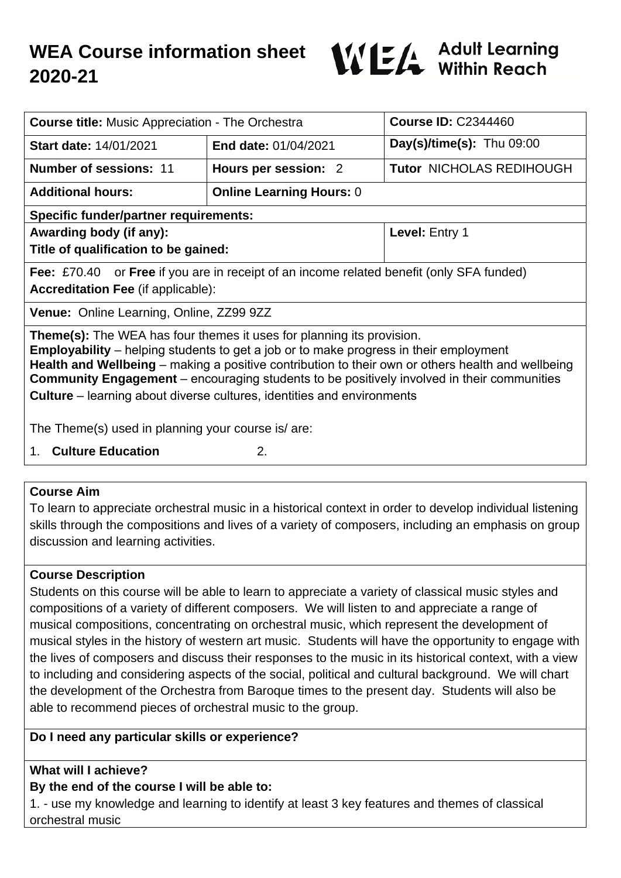# **WEA Course information sheet 2020-21**



| <b>Course title:</b> Music Appreciation - The Orchestra                                                                                                                                                                                                                                                                                                                                                                                                                 |                                 | <b>Course ID: C2344460</b>      |
|-------------------------------------------------------------------------------------------------------------------------------------------------------------------------------------------------------------------------------------------------------------------------------------------------------------------------------------------------------------------------------------------------------------------------------------------------------------------------|---------------------------------|---------------------------------|
| Start date: 14/01/2021                                                                                                                                                                                                                                                                                                                                                                                                                                                  | <b>End date: 01/04/2021</b>     | $Day(s)/time(s)$ : Thu 09:00    |
| <b>Number of sessions: 11</b>                                                                                                                                                                                                                                                                                                                                                                                                                                           | Hours per session: 2            | <b>Tutor NICHOLAS REDIHOUGH</b> |
| <b>Additional hours:</b>                                                                                                                                                                                                                                                                                                                                                                                                                                                | <b>Online Learning Hours: 0</b> |                                 |
| <b>Specific funder/partner requirements:</b>                                                                                                                                                                                                                                                                                                                                                                                                                            |                                 |                                 |
| Awarding body (if any):                                                                                                                                                                                                                                                                                                                                                                                                                                                 |                                 | Level: Entry 1                  |
| Title of qualification to be gained:                                                                                                                                                                                                                                                                                                                                                                                                                                    |                                 |                                 |
| Fee: £70.40 or Free if you are in receipt of an income related benefit (only SFA funded)                                                                                                                                                                                                                                                                                                                                                                                |                                 |                                 |
| <b>Accreditation Fee (if applicable):</b>                                                                                                                                                                                                                                                                                                                                                                                                                               |                                 |                                 |
| Venue: Online Learning, Online, ZZ99 9ZZ                                                                                                                                                                                                                                                                                                                                                                                                                                |                                 |                                 |
| <b>Theme(s):</b> The WEA has four themes it uses for planning its provision.<br><b>Employability</b> – helping students to get a job or to make progress in their employment<br>Health and Wellbeing – making a positive contribution to their own or others health and wellbeing<br><b>Community Engagement</b> – encouraging students to be positively involved in their communities<br><b>Culture</b> – learning about diverse cultures, identities and environments |                                 |                                 |
| The Theme(s) used in planning your course is/are:                                                                                                                                                                                                                                                                                                                                                                                                                       |                                 |                                 |
| <b>Culture Education</b><br>2.<br>1.                                                                                                                                                                                                                                                                                                                                                                                                                                    |                                 |                                 |

### **Course Aim**

To learn to appreciate orchestral music in a historical context in order to develop individual listening skills through the compositions and lives of a variety of composers, including an emphasis on group discussion and learning activities.

### **Course Description**

Students on this course will be able to learn to appreciate a variety of classical music styles and compositions of a variety of different composers. We will listen to and appreciate a range of musical compositions, concentrating on orchestral music, which represent the development of musical styles in the history of western art music. Students will have the opportunity to engage with the lives of composers and discuss their responses to the music in its historical context, with a view to including and considering aspects of the social, political and cultural background. We will chart the development of the Orchestra from Baroque times to the present day. Students will also be able to recommend pieces of orchestral music to the group.

### **Do I need any particular skills or experience?**

### **What will I achieve?**

### **By the end of the course I will be able to:**

1. - use my knowledge and learning to identify at least 3 key features and themes of classical orchestral music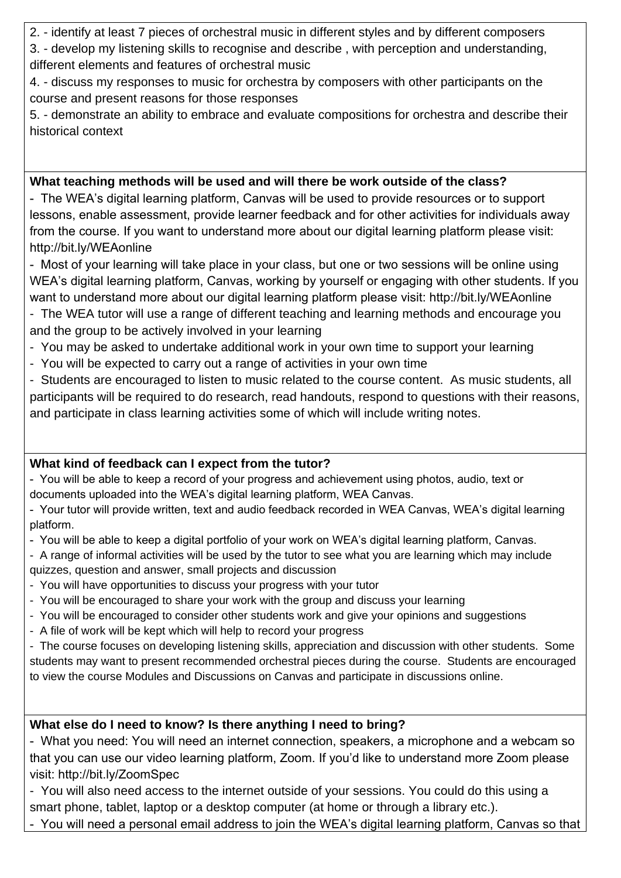2. - identify at least 7 pieces of orchestral music in different styles and by different composers

3. - develop my listening skills to recognise and describe , with perception and understanding, different elements and features of orchestral music

4. - discuss my responses to music for orchestra by composers with other participants on the course and present reasons for those responses

5. - demonstrate an ability to embrace and evaluate compositions for orchestra and describe their historical context

### **What teaching methods will be used and will there be work outside of the class?**

- The WEA's digital learning platform, Canvas will be used to provide resources or to support lessons, enable assessment, provide learner feedback and for other activities for individuals away from the course. If you want to understand more about our digital learning platform please visit: http://bit.ly/WEAonline

- Most of your learning will take place in your class, but one or two sessions will be online using WEA's digital learning platform, Canvas, working by yourself or engaging with other students. If you want to understand more about our digital learning platform please visit: http://bit.ly/WEAonline

- The WEA tutor will use a range of different teaching and learning methods and encourage you and the group to be actively involved in your learning

- You may be asked to undertake additional work in your own time to support your learning
- You will be expected to carry out a range of activities in your own time

- Students are encouraged to listen to music related to the course content. As music students, all participants will be required to do research, read handouts, respond to questions with their reasons, and participate in class learning activities some of which will include writing notes.

# **What kind of feedback can I expect from the tutor?**

- You will be able to keep a record of your progress and achievement using photos, audio, text or documents uploaded into the WEA's digital learning platform, WEA Canvas.

- Your tutor will provide written, text and audio feedback recorded in WEA Canvas, WEA's digital learning platform.

- You will be able to keep a digital portfolio of your work on WEA's digital learning platform, Canvas.

- A range of informal activities will be used by the tutor to see what you are learning which may include quizzes, question and answer, small projects and discussion

- You will have opportunities to discuss your progress with your tutor
- You will be encouraged to share your work with the group and discuss your learning
- You will be encouraged to consider other students work and give your opinions and suggestions
- A file of work will be kept which will help to record your progress

- The course focuses on developing listening skills, appreciation and discussion with other students. Some students may want to present recommended orchestral pieces during the course. Students are encouraged to view the course Modules and Discussions on Canvas and participate in discussions online.

# **What else do I need to know? Is there anything I need to bring?**

- What you need: You will need an internet connection, speakers, a microphone and a webcam so that you can use our video learning platform, Zoom. If you'd like to understand more Zoom please visit: http://bit.ly/ZoomSpec

- You will also need access to the internet outside of your sessions. You could do this using a smart phone, tablet, laptop or a desktop computer (at home or through a library etc.).

- You will need a personal email address to join the WEA's digital learning platform, Canvas so that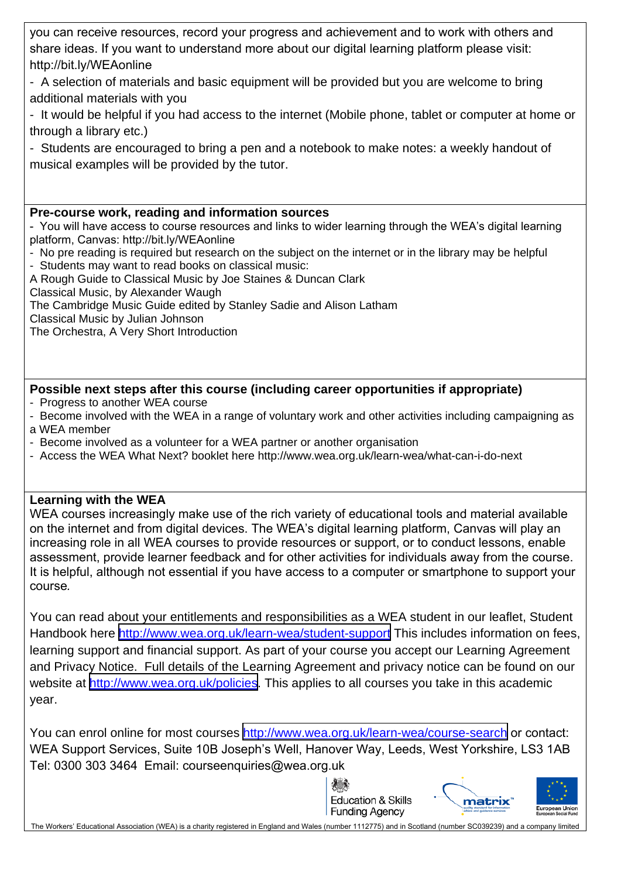you can receive resources, record your progress and achievement and to work with others and share ideas. If you want to understand more about our digital learning platform please visit: http://bit.ly/WEAonline

- A selection of materials and basic equipment will be provided but you are welcome to bring additional materials with you

- It would be helpful if you had access to the internet (Mobile phone, tablet or computer at home or through a library etc.)

- Students are encouraged to bring a pen and a notebook to make notes: a weekly handout of musical examples will be provided by the tutor.

#### **Pre-course work, reading and information sources**

- You will have access to course resources and links to wider learning through the WEA's digital learning platform, Canvas: http://bit.ly/WEAonline

- No pre reading is required but research on the subject on the internet or in the library may be helpful - Students may want to read books on classical music:
- A Rough Guide to Classical Music by Joe Staines & Duncan Clark
- Classical Music, by Alexander Waugh
- The Cambridge Music Guide edited by Stanley Sadie and Alison Latham
- Classical Music by Julian Johnson

The Orchestra, A Very Short Introduction

### **Possible next steps after this course (including career opportunities if appropriate)**

- Progress to another WEA course
- Become involved with the WEA in a range of voluntary work and other activities including campaigning as a WEA member
- Become involved as a volunteer for a WEA partner or another organisation
- Access the WEA What Next? booklet here http://www.wea.org.uk/learn-wea/what-can-i-do-next

### **Learning with the WEA**

WEA courses increasingly make use of the rich variety of educational tools and material available on the internet and from digital devices. The WEA's digital learning platform, Canvas will play an increasing role in all WEA courses to provide resources or support, or to conduct lessons, enable assessment, provide learner feedback and for other activities for individuals away from the course. It is helpful, although not essential if you have access to a computer or smartphone to support your course*.*

You can read about your entitlements and responsibilities as a WEA student in our leaflet, Student Handbook here <http://www.wea.org.uk/learn-wea/student-support> This includes information on fees, learning support and financial support. As part of your course you accept our Learning Agreement and Privacy Notice. Full details of the Learning Agreement and privacy notice can be found on our website at <http://www.wea.org.uk/policies>. This applies to all courses you take in this academic year.

You can enrol online for most courses<http://www.wea.org.uk/learn-wea/course-search> or contact: WEA Support Services, Suite 10B Joseph's Well, Hanover Way, Leeds, West Yorkshire, LS3 1AB Tel: 0300 303 3464 Email: courseenquiries@wea.org.uk





The Workers' Educational Association (WEA) is a charity registered in England and Wales (number 1112775) and in Scotland (number SC039239) and a company limited